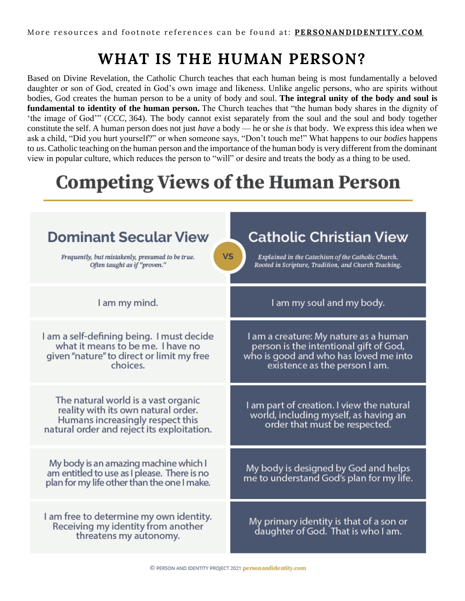## **WHAT IS THE HUMAN PERSON?**

Based on Divine Revelation, the Catholic Church teaches that each human being is most fundamentally a beloved daughter or son of God, created in God's own image and likeness. Unlike angelic persons, who are spirits without bodies, God creates the human person to be a unity of body and soul. **The integral unity of the body and soul is fundamental to identity of the human person.** The Church teaches that "the human body shares in the dignity of 'the image of God'" (*CCC,* 364). The body cannot exist separately from the soul and the soul and body together constitute the self. A human person does not just *have* a body — he or she *is* that body. We express this idea when we ask a child, "Did you hurt yourself?" or when someone says, "Don't touch me!" What happens to our *bodies* happens to *us*. Catholic teaching on the human person and the importance of the human body is very different from the dominant view in popular culture, which reduces the person to "will" or desire and treats the body as a thing to be used.

## **Competing Views of the Human Person**

| <b>Dominant Secular View</b><br><b>VS</b><br>Frequently, but mistakenly, presumed to be true.<br>Often taught as if "proven."                                | <b>Catholic Christian View</b><br>Explained in the Catechism of the Catholic Church.<br>Rooted in Scripture, Tradition, and Church Teaching.              |
|--------------------------------------------------------------------------------------------------------------------------------------------------------------|-----------------------------------------------------------------------------------------------------------------------------------------------------------|
| I am my mind.                                                                                                                                                | I am my soul and my body.                                                                                                                                 |
| I am a self-defining being. I must decide<br>what it means to be me. I have no<br>given "nature" to direct or limit my free<br>choices.                      | I am a creature: My nature as a human<br>person is the intentional gift of God,<br>who is good and who has loved me into<br>existence as the person I am. |
| The natural world is a vast organic<br>reality with its own natural order.<br>Humans increasingly respect this<br>natural order and reject its exploitation. | I am part of creation. I view the natural<br>world, including myself, as having an<br>order that must be respected.                                       |
| My body is an amazing machine which I<br>am entitled to use as I please. There is no<br>plan for my life other than the one I make.                          | My body is designed by God and helps<br>me to understand God's plan for my life.                                                                          |
| I am free to determine my own identity.<br>Receiving my identity from another<br>threatens my autonomy.                                                      | My primary identity is that of a son or<br>daughter of God. That is who I am.                                                                             |